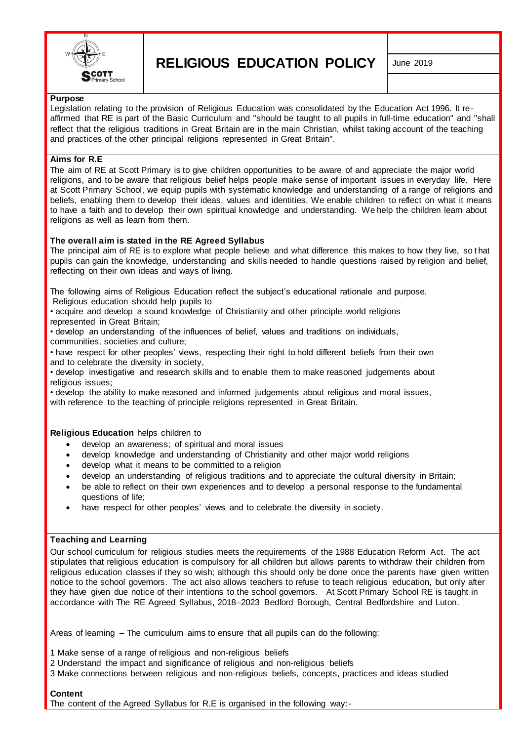

**RELIGIOUS EDUCATION POLICY** June 2019

## **Purpose**

Legislation relating to the provision of Religious Education was consolidated by the Education Act 1996. It reaffirmed that RE is part of the Basic Curriculum and "should be taught to all pupils in full-time education" and "shall reflect that the religious traditions in Great Britain are in the main Christian, whilst taking account of the teaching and practices of the other principal religions represented in Great Britain".

# **Aims for R.E**

The aim of RE at Scott Primary is to give children opportunities to be aware of and appreciate the major world religions, and to be aware that religious belief helps people make sense of important issues in everyday life. Here at Scott Primary School, we equip pupils with systematic knowledge and understanding of a range of religions and beliefs, enabling them to develop their ideas, values and identities. We enable children to reflect on what it means to have a faith and to develop their own spiritual knowledge and understanding. We help the children learn about religions as well as learn from them.

# **The overall aim is stated in the RE Agreed Syllabus**

The principal aim of RE is to explore what people believe and what difference this makes to how they live, so t hat pupils can gain the knowledge, understanding and skills needed to handle questions raised by religion and belief, reflecting on their own ideas and ways of living.

The following aims of Religious Education reflect the subject's educational rationale and purpose. Religious education should help pupils to

• acquire and develop a sound knowledge of Christianity and other principle world religions represented in Great Britain;

• develop an understanding of the influences of belief, values and traditions on individuals, communities, societies and culture;

• have respect for other peoples' views, respecting their right to hold different beliefs from their own and to celebrate the diversity in society,

• develop investigative and research skills and to enable them to make reasoned judgements about religious issues;

• develop the ability to make reasoned and informed judgements about religious and moral issues, with reference to the teaching of principle religions represented in Great Britain.

**Religious Education** helps children to

- develop an awareness; of spiritual and moral issues
- develop knowledge and understanding of Christianity and other major world religions
- develop what it means to be committed to a religion
- develop an understanding of religious traditions and to appreciate the cultural diversity in Britain;
- be able to reflect on their own experiences and to develop a personal response to the fundamental questions of life;
- have respect for other peoples' views and to celebrate the diversity in society.

#### **Teaching and Learning**

Our school curriculum for religious studies meets the requirements of the 1988 Education Reform Act. The act stipulates that religious education is compulsory for all children but allows parents to withdraw their children from religious education classes if they so wish; although this should only be done once the parents have given written notice to the school governors. The act also allows teachers to refuse to teach religious education, but only after they have given due notice of their intentions to the school governors. At Scott Primary School RE is taught in accordance with The RE Agreed Syllabus, 2018–2023 Bedford Borough, Central Bedfordshire and Luton.

Areas of learning – The curriculum aims to ensure that all pupils can do the following:

1 Make sense of a range of religious and non-religious beliefs

- 2 Understand the impact and significance of religious and non-religious beliefs
- 3 Make connections between religious and non-religious beliefs, concepts, practices and ideas studied

#### **Content**

The content of the Agreed Syllabus for R.E is organised in the following way:-